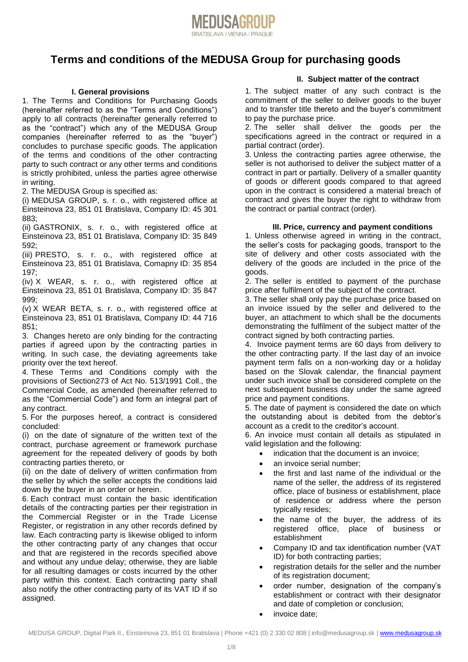

# **Terms and conditions of the MEDUSA Group for purchasing goods**

### **I. General provisions**

1. The Terms and Conditions for Purchasing Goods (hereinafter referred to as the "Terms and Conditions") apply to all contracts (hereinafter generally referred to as the "contract") which any of the MEDUSA Group companies (hereinafter referred to as the "buyer") concludes to purchase specific goods. The application of the terms and conditions of the other contracting party to such contract or any other terms and conditions is strictly prohibited, unless the parties agree otherwise in writing.

2. The MEDUSA Group is specified as:

(i) MEDUSA GROUP, s. r. o., with registered office at Einsteinova 23, 851 01 Bratislava, Company ID: 45 301 883;

(ii) GASTRONIX, s. r. o., with registered office at Einsteinova 23, 851 01 Bratislava, Company ID: 35 849 592;

(iii) PRESTO, s. r. o., with registered office at Einsteinova 23, 851 01 Bratislava, Comapny ID: 35 854 197;

(iv) X WEAR, s. r. o., with registered office at Einsteinova 23, 851 01 Bratislava, Company ID: 35 847 999;

(v) X WEAR BETA, s. r. o., with registered office at Einsteinova 23, 851 01 Bratislava, Company ID: 44 716 851;

3. Changes hereto are only binding for the contracting parties if agreed upon by the contracting parties in writing. In such case, the deviating agreements take priority over the text hereof.

4. These Terms and Conditions comply with the provisions of Section273 of Act No. 513/1991 Coll., the Commercial Code, as amended (hereinafter referred to as the "Commercial Code") and form an integral part of any contract.

5. For the purposes hereof, a contract is considered concluded:

(i) on the date of signature of the written text of the contract, purchase agreement or framework purchase agreement for the repeated delivery of goods by both contracting parties thereto, or

(ii) on the date of delivery of written confirmation from the seller by which the seller accepts the conditions laid down by the buyer in an order or herein.

6. Each contract must contain the basic identification details of the contracting parties per their registration in the Commercial Register or in the Trade License Register, or registration in any other records defined by law. Each contracting party is likewise obliged to inform the other contracting party of any changes that occur and that are registered in the records specified above and without any undue delay; otherwise, they are liable for all resulting damages or costs incurred by the other party within this context. Each contracting party shall also notify the other contracting party of its VAT ID if so assigned.

### **II. Subject matter of the contract**

1. The subject matter of any such contract is the commitment of the seller to deliver goods to the buyer and to transfer title thereto and the buyer's commitment to pay the purchase price.

2. The seller shall deliver the goods per the specifications agreed in the contract or required in a partial contract (order).

3. Unless the contracting parties agree otherwise, the seller is not authorised to deliver the subject matter of a contract in part or partially. Delivery of a smaller quantity of goods or different goods compared to that agreed upon in the contract is considered a material breach of contract and gives the buyer the right to withdraw from the contract or partial contract (order).

#### **III. Price, currency and payment conditions**

1. Unless otherwise agreed in writing in the contract, the seller's costs for packaging goods, transport to the site of delivery and other costs associated with the delivery of the goods are included in the price of the goods.

2. The seller is entitled to payment of the purchase price after fulfilment of the subject of the contract.

3. The seller shall only pay the purchase price based on an invoice issued by the seller and delivered to the buyer, an attachment to which shall be the documents demonstrating the fulfilment of the subject matter of the contract signed by both contracting parties.

4. Invoice payment terms are 60 days from delivery to the other contracting party. If the last day of an invoice payment term falls on a non-working day or a holiday based on the Slovak calendar, the financial payment under such invoice shall be considered complete on the next subsequent business day under the same agreed price and payment conditions.

5. The date of payment is considered the date on which the outstanding about is debited from the debtor's account as a credit to the creditor's account.

6. An invoice must contain all details as stipulated in valid legislation and the following:

- indication that the document is an invoice;
- an invoice serial number:
- the first and last name of the individual or the name of the seller, the address of its registered office, place of business or establishment, place of residence or address where the person typically resides;
- the name of the buyer, the address of its registered office, place of business or establishment
- Company ID and tax identification number (VAT ID) for both contracting parties;
- registration details for the seller and the number of its registration document;
- order number, designation of the company's establishment or contract with their designator and date of completion or conclusion;
- invoice date: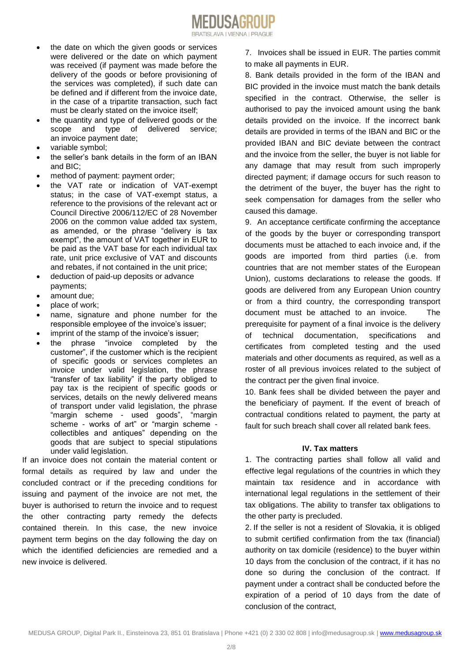

- the date on which the given goods or services were delivered or the date on which payment was received (if payment was made before the delivery of the goods or before provisioning of the services was completed), if such date can be defined and if different from the invoice date, in the case of a tripartite transaction, such fact must be clearly stated on the invoice itself;
- the quantity and type of delivered goods or the scope and type of delivered service; an invoice payment date;
- variable symbol;
- the seller's bank details in the form of an IBAN and BIC;
- method of payment: payment order;
- the VAT rate or indication of VAT-exempt status; in the case of VAT-exempt status, a reference to the provisions of the relevant act or Council Directive 2006/112/EC of 28 November 2006 on the common value added tax system, as amended, or the phrase "delivery is tax exempt", the amount of VAT together in EUR to be paid as the VAT base for each individual tax rate, unit price exclusive of VAT and discounts and rebates, if not contained in the unit price;
- deduction of paid-up deposits or advance payments;
- amount due;
- place of work;
- name, signature and phone number for the responsible employee of the invoice's issuer;
- imprint of the stamp of the invoice's issuer;
- the phrase "invoice completed by the customer", if the customer which is the recipient of specific goods or services completes an invoice under valid legislation, the phrase "transfer of tax liability" if the party obliged to pay tax is the recipient of specific goods or services, details on the newly delivered means of transport under valid legislation, the phrase "margin scheme - used goods", "margin scheme - works of art" or "margin scheme collectibles and antiques" depending on the goods that are subject to special stipulations under valid legislation.

If an invoice does not contain the material content or formal details as required by law and under the concluded contract or if the preceding conditions for issuing and payment of the invoice are not met, the buyer is authorised to return the invoice and to request the other contracting party remedy the defects contained therein. In this case, the new invoice payment term begins on the day following the day on which the identified deficiencies are remedied and a new invoice is delivered.

7. Invoices shall be issued in EUR. The parties commit to make all payments in EUR.

8. Bank details provided in the form of the IBAN and BIC provided in the invoice must match the bank details specified in the contract. Otherwise, the seller is authorised to pay the invoiced amount using the bank details provided on the invoice. If the incorrect bank details are provided in terms of the IBAN and BIC or the provided IBAN and BIC deviate between the contract and the invoice from the seller, the buyer is not liable for any damage that may result from such improperly directed payment; if damage occurs for such reason to the detriment of the buyer, the buyer has the right to seek compensation for damages from the seller who caused this damage.

9. An acceptance certificate confirming the acceptance of the goods by the buyer or corresponding transport documents must be attached to each invoice and, if the goods are imported from third parties (i.e. from countries that are not member states of the European Union), customs declarations to release the goods. If goods are delivered from any European Union country or from a third country, the corresponding transport document must be attached to an invoice. The prerequisite for payment of a final invoice is the delivery of technical documentation, specifications and certificates from completed testing and the used materials and other documents as required, as well as a roster of all previous invoices related to the subject of the contract per the given final invoice.

10. Bank fees shall be divided between the payer and the beneficiary of payment. If the event of breach of contractual conditions related to payment, the party at fault for such breach shall cover all related bank fees.

#### **IV. Tax matters**

1. The contracting parties shall follow all valid and effective legal regulations of the countries in which they maintain tax residence and in accordance with international legal regulations in the settlement of their tax obligations. The ability to transfer tax obligations to the other party is precluded.

2. If the seller is not a resident of Slovakia, it is obliged to submit certified confirmation from the tax (financial) authority on tax domicile (residence) to the buyer within 10 days from the conclusion of the contract, if it has no done so during the conclusion of the contract. If payment under a contract shall be conducted before the expiration of a period of 10 days from the date of conclusion of the contract,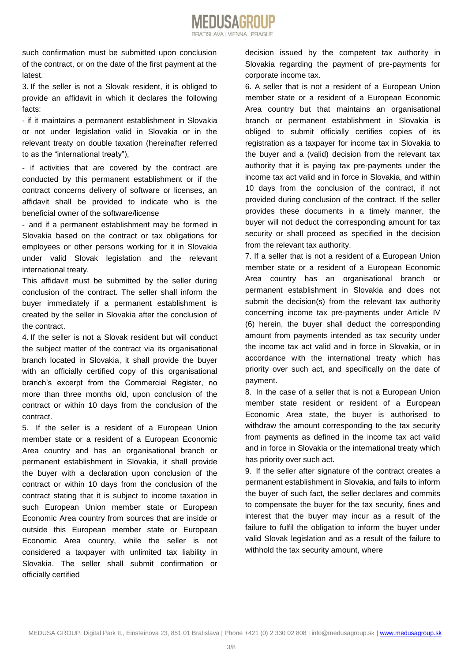

such confirmation must be submitted upon conclusion of the contract, or on the date of the first payment at the latest.

3. If the seller is not a Slovak resident, it is obliged to provide an affidavit in which it declares the following facts:

- if it maintains a permanent establishment in Slovakia or not under legislation valid in Slovakia or in the relevant treaty on double taxation (hereinafter referred to as the "international treaty"),

- if activities that are covered by the contract are conducted by this permanent establishment or if the contract concerns delivery of software or licenses, an affidavit shall be provided to indicate who is the beneficial owner of the software/license

- and if a permanent establishment may be formed in Slovakia based on the contract or tax obligations for employees or other persons working for it in Slovakia under valid Slovak legislation and the relevant international treaty.

This affidavit must be submitted by the seller during conclusion of the contract. The seller shall inform the buyer immediately if a permanent establishment is created by the seller in Slovakia after the conclusion of the contract.

4. If the seller is not a Slovak resident but will conduct the subject matter of the contract via its organisational branch located in Slovakia, it shall provide the buyer with an officially certified copy of this organisational branch's excerpt from the Commercial Register, no more than three months old, upon conclusion of the contract or within 10 days from the conclusion of the contract.

5. If the seller is a resident of a European Union member state or a resident of a European Economic Area country and has an organisational branch or permanent establishment in Slovakia, it shall provide the buyer with a declaration upon conclusion of the contract or within 10 days from the conclusion of the contract stating that it is subject to income taxation in such European Union member state or European Economic Area country from sources that are inside or outside this European member state or European Economic Area country, while the seller is not considered a taxpayer with unlimited tax liability in Slovakia. The seller shall submit confirmation or officially certified

decision issued by the competent tax authority in Slovakia regarding the payment of pre-payments for corporate income tax.

6. A seller that is not a resident of a European Union member state or a resident of a European Economic Area country but that maintains an organisational branch or permanent establishment in Slovakia is obliged to submit officially certifies copies of its registration as a taxpayer for income tax in Slovakia to the buyer and a (valid) decision from the relevant tax authority that it is paying tax pre-payments under the income tax act valid and in force in Slovakia, and within 10 days from the conclusion of the contract, if not provided during conclusion of the contract. If the seller provides these documents in a timely manner, the buyer will not deduct the corresponding amount for tax security or shall proceed as specified in the decision from the relevant tax authority.

7. If a seller that is not a resident of a European Union member state or a resident of a European Economic Area country has an organisational branch or permanent establishment in Slovakia and does not submit the decision(s) from the relevant tax authority concerning income tax pre-payments under Article IV (6) herein, the buyer shall deduct the corresponding amount from payments intended as tax security under the income tax act valid and in force in Slovakia, or in accordance with the international treaty which has priority over such act, and specifically on the date of payment.

8. In the case of a seller that is not a European Union member state resident or resident of a European Economic Area state, the buyer is authorised to withdraw the amount corresponding to the tax security from payments as defined in the income tax act valid and in force in Slovakia or the international treaty which has priority over such act.

9. If the seller after signature of the contract creates a permanent establishment in Slovakia, and fails to inform the buyer of such fact, the seller declares and commits to compensate the buyer for the tax security, fines and interest that the buyer may incur as a result of the failure to fulfil the obligation to inform the buyer under valid Slovak legislation and as a result of the failure to withhold the tax security amount, where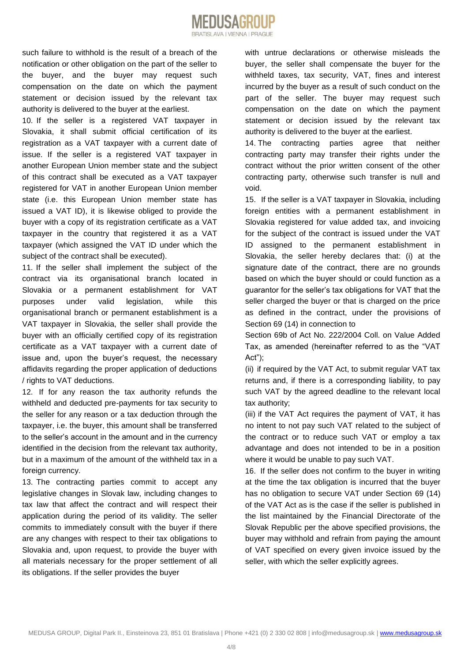such failure to withhold is the result of a breach of the notification or other obligation on the part of the seller to the buyer, and the buyer may request such compensation on the date on which the payment

authority is delivered to the buyer at the earliest. 10. If the seller is a registered VAT taxpayer in Slovakia, it shall submit official certification of its registration as a VAT taxpayer with a current date of issue. If the seller is a registered VAT taxpayer in another European Union member state and the subject of this contract shall be executed as a VAT taxpayer registered for VAT in another European Union member state (i.e. this European Union member state has issued a VAT ID), it is likewise obliged to provide the buyer with a copy of its registration certificate as a VAT taxpayer in the country that registered it as a VAT taxpayer (which assigned the VAT ID under which the subject of the contract shall be executed).

statement or decision issued by the relevant tax

11. If the seller shall implement the subject of the contract via its organisational branch located in Slovakia or a permanent establishment for VAT purposes under valid legislation, while this organisational branch or permanent establishment is a VAT taxpayer in Slovakia, the seller shall provide the buyer with an officially certified copy of its registration certificate as a VAT taxpayer with a current date of issue and, upon the buyer's request, the necessary affidavits regarding the proper application of deductions / rights to VAT deductions.

12. If for any reason the tax authority refunds the withheld and deducted pre-payments for tax security to the seller for any reason or a tax deduction through the taxpayer, i.e. the buyer, this amount shall be transferred to the seller's account in the amount and in the currency identified in the decision from the relevant tax authority, but in a maximum of the amount of the withheld tax in a foreign currency.

13. The contracting parties commit to accept any legislative changes in Slovak law, including changes to tax law that affect the contract and will respect their application during the period of its validity. The seller commits to immediately consult with the buyer if there are any changes with respect to their tax obligations to Slovakia and, upon request, to provide the buyer with all materials necessary for the proper settlement of all its obligations. If the seller provides the buyer

with untrue declarations or otherwise misleads the buyer, the seller shall compensate the buyer for the withheld taxes, tax security, VAT, fines and interest incurred by the buyer as a result of such conduct on the part of the seller. The buyer may request such compensation on the date on which the payment statement or decision issued by the relevant tax authority is delivered to the buyer at the earliest.

14. The contracting parties agree that neither contracting party may transfer their rights under the contract without the prior written consent of the other contracting party, otherwise such transfer is null and void.

15. If the seller is a VAT taxpayer in Slovakia, including foreign entities with a permanent establishment in Slovakia registered for value added tax, and invoicing for the subject of the contract is issued under the VAT ID assigned to the permanent establishment in Slovakia, the seller hereby declares that: (i) at the signature date of the contract, there are no grounds based on which the buyer should or could function as a guarantor for the seller's tax obligations for VAT that the seller charged the buyer or that is charged on the price as defined in the contract, under the provisions of Section 69 (14) in connection to

Section 69b of Act No. 222/2004 Coll. on Value Added Tax, as amended (hereinafter referred to as the "VAT Act");

(ii) if required by the VAT Act, to submit regular VAT tax returns and, if there is a corresponding liability, to pay such VAT by the agreed deadline to the relevant local tax authority;

(iii) if the VAT Act requires the payment of VAT, it has no intent to not pay such VAT related to the subject of the contract or to reduce such VAT or employ a tax advantage and does not intended to be in a position where it would be unable to pay such VAT.

16. If the seller does not confirm to the buyer in writing at the time the tax obligation is incurred that the buyer has no obligation to secure VAT under Section 69 (14) of the VAT Act as is the case if the seller is published in the list maintained by the Financial Directorate of the Slovak Republic per the above specified provisions, the buyer may withhold and refrain from paying the amount of VAT specified on every given invoice issued by the seller, with which the seller explicitly agrees.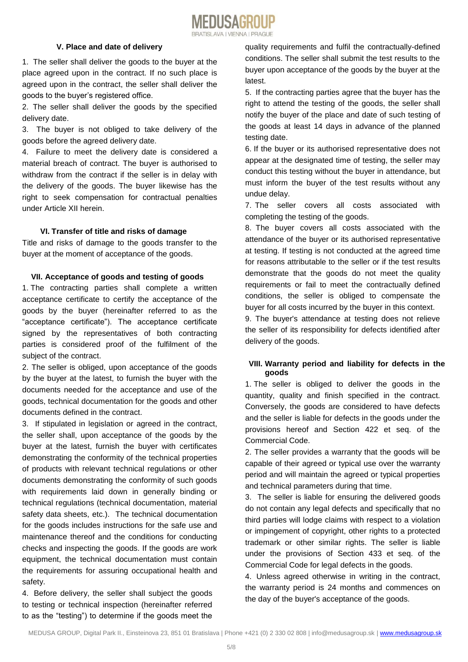

### **V. Place and date of delivery**

1. The seller shall deliver the goods to the buyer at the place agreed upon in the contract. If no such place is agreed upon in the contract, the seller shall deliver the goods to the buyer's registered office.

2. The seller shall deliver the goods by the specified delivery date.

3. The buyer is not obliged to take delivery of the goods before the agreed delivery date.

4. Failure to meet the delivery date is considered a material breach of contract. The buyer is authorised to withdraw from the contract if the seller is in delay with the delivery of the goods. The buyer likewise has the right to seek compensation for contractual penalties under Article XII herein.

#### **VI. Transfer of title and risks of damage**

Title and risks of damage to the goods transfer to the buyer at the moment of acceptance of the goods.

#### **VII. Acceptance of goods and testing of goods**

1. The contracting parties shall complete a written acceptance certificate to certify the acceptance of the goods by the buyer (hereinafter referred to as the "acceptance certificate"). The acceptance certificate signed by the representatives of both contracting parties is considered proof of the fulfilment of the subject of the contract.

2. The seller is obliged, upon acceptance of the goods by the buyer at the latest, to furnish the buyer with the documents needed for the acceptance and use of the goods, technical documentation for the goods and other documents defined in the contract.

3. If stipulated in legislation or agreed in the contract, the seller shall, upon acceptance of the goods by the buyer at the latest, furnish the buyer with certificates demonstrating the conformity of the technical properties of products with relevant technical regulations or other documents demonstrating the conformity of such goods with requirements laid down in generally binding or technical regulations (technical documentation, material safety data sheets, etc.). The technical documentation for the goods includes instructions for the safe use and maintenance thereof and the conditions for conducting checks and inspecting the goods. If the goods are work equipment, the technical documentation must contain the requirements for assuring occupational health and safety.

4. Before delivery, the seller shall subject the goods to testing or technical inspection (hereinafter referred to as the "testing") to determine if the goods meet the

quality requirements and fulfil the contractually-defined conditions. The seller shall submit the test results to the buyer upon acceptance of the goods by the buyer at the latest.

5. If the contracting parties agree that the buyer has the right to attend the testing of the goods, the seller shall notify the buyer of the place and date of such testing of the goods at least 14 days in advance of the planned testing date.

6. If the buyer or its authorised representative does not appear at the designated time of testing, the seller may conduct this testing without the buyer in attendance, but must inform the buyer of the test results without any undue delay.

7. The seller covers all costs associated with completing the testing of the goods.

8. The buyer covers all costs associated with the attendance of the buyer or its authorised representative at testing. If testing is not conducted at the agreed time for reasons attributable to the seller or if the test results demonstrate that the goods do not meet the quality requirements or fail to meet the contractually defined conditions, the seller is obliged to compensate the buyer for all costs incurred by the buyer in this context.

9. The buyer's attendance at testing does not relieve the seller of its responsibility for defects identified after delivery of the goods.

# **VIII. Warranty period and liability for defects in the goods**

1. The seller is obliged to deliver the goods in the quantity, quality and finish specified in the contract. Conversely, the goods are considered to have defects and the seller is liable for defects in the goods under the provisions hereof and Section 422 et seq. of the Commercial Code.

2. The seller provides a warranty that the goods will be capable of their agreed or typical use over the warranty period and will maintain the agreed or typical properties and technical parameters during that time.

3. The seller is liable for ensuring the delivered goods do not contain any legal defects and specifically that no third parties will lodge claims with respect to a violation or impingement of copyright, other rights to a protected trademark or other similar rights. The seller is liable under the provisions of Section 433 et seq. of the Commercial Code for legal defects in the goods.

4. Unless agreed otherwise in writing in the contract, the warranty period is 24 months and commences on the day of the buyer's acceptance of the goods.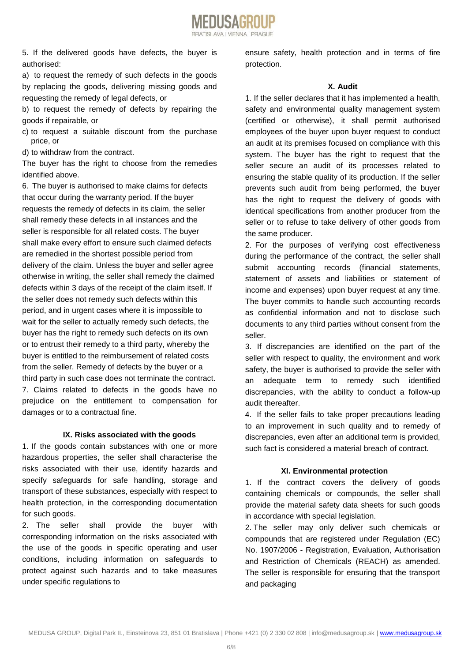

5. If the delivered goods have defects, the buyer is authorised:

a) to request the remedy of such defects in the goods by replacing the goods, delivering missing goods and requesting the remedy of legal defects, or

b) to request the remedy of defects by repairing the goods if repairable, or

- c) to request a suitable discount from the purchase price, or
- d) to withdraw from the contract.

The buyer has the right to choose from the remedies identified above.

6. The buyer is authorised to make claims for defects that occur during the warranty period. If the buyer requests the remedy of defects in its claim, the seller shall remedy these defects in all instances and the seller is responsible for all related costs. The buyer shall make every effort to ensure such claimed defects are remedied in the shortest possible period from delivery of the claim. Unless the buyer and seller agree otherwise in writing, the seller shall remedy the claimed defects within 3 days of the receipt of the claim itself. If the seller does not remedy such defects within this period, and in urgent cases where it is impossible to wait for the seller to actually remedy such defects, the buyer has the right to remedy such defects on its own or to entrust their remedy to a third party, whereby the buyer is entitled to the reimbursement of related costs from the seller. Remedy of defects by the buyer or a third party in such case does not terminate the contract. 7. Claims related to defects in the goods have no prejudice on the entitlement to compensation for damages or to a contractual fine.

#### **IX. Risks associated with the goods**

1. If the goods contain substances with one or more hazardous properties, the seller shall characterise the risks associated with their use, identify hazards and specify safeguards for safe handling, storage and transport of these substances, especially with respect to health protection, in the corresponding documentation for such goods.

2. The seller shall provide the buyer with corresponding information on the risks associated with the use of the goods in specific operating and user conditions, including information on safeguards to protect against such hazards and to take measures under specific regulations to

ensure safety, health protection and in terms of fire protection.

#### **X. Audit**

1. If the seller declares that it has implemented a health, safety and environmental quality management system (certified or otherwise), it shall permit authorised employees of the buyer upon buyer request to conduct an audit at its premises focused on compliance with this system. The buyer has the right to request that the seller secure an audit of its processes related to ensuring the stable quality of its production. If the seller prevents such audit from being performed, the buyer has the right to request the delivery of goods with identical specifications from another producer from the seller or to refuse to take delivery of other goods from the same producer.

2. For the purposes of verifying cost effectiveness during the performance of the contract, the seller shall submit accounting records (financial statements, statement of assets and liabilities or statement of income and expenses) upon buyer request at any time. The buyer commits to handle such accounting records as confidential information and not to disclose such documents to any third parties without consent from the seller.

3. If discrepancies are identified on the part of the seller with respect to quality, the environment and work safety, the buyer is authorised to provide the seller with an adequate term to remedy such identified discrepancies, with the ability to conduct a follow-up audit thereafter.

4. If the seller fails to take proper precautions leading to an improvement in such quality and to remedy of discrepancies, even after an additional term is provided, such fact is considered a material breach of contract.

#### **XI. Environmental protection**

1. If the contract covers the delivery of goods containing chemicals or compounds, the seller shall provide the material safety data sheets for such goods in accordance with special legislation.

2. The seller may only deliver such chemicals or compounds that are registered under Regulation (EC) No. 1907/2006 - Registration, Evaluation, Authorisation and Restriction of Chemicals (REACH) as amended. The seller is responsible for ensuring that the transport and packaging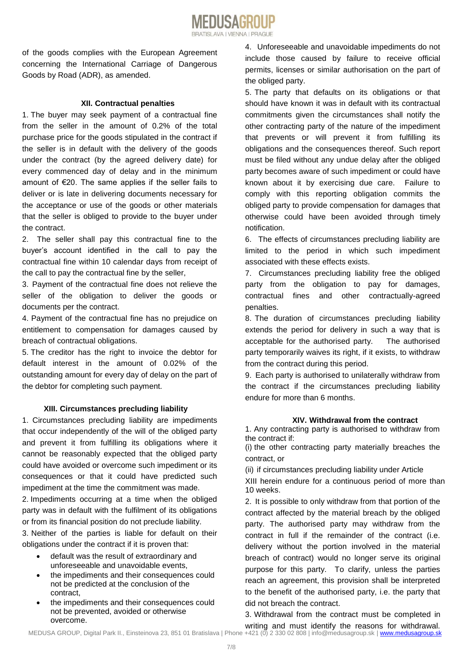# of the goods complies with the European Agreement concerning the International Carriage of Dangerous Goods by Road (ADR), as amended.

# **XII. Contractual penalties**

1. The buyer may seek payment of a contractual fine from the seller in the amount of 0.2% of the total purchase price for the goods stipulated in the contract if the seller is in default with the delivery of the goods under the contract (by the agreed delivery date) for every commenced day of delay and in the minimum amount of €20. The same applies if the seller fails to deliver or is late in delivering documents necessary for the acceptance or use of the goods or other materials that the seller is obliged to provide to the buyer under the contract.

2. The seller shall pay this contractual fine to the buyer's account identified in the call to pay the contractual fine within 10 calendar days from receipt of the call to pay the contractual fine by the seller,

3. Payment of the contractual fine does not relieve the seller of the obligation to deliver the goods or documents per the contract.

4. Payment of the contractual fine has no prejudice on entitlement to compensation for damages caused by breach of contractual obligations.

5. The creditor has the right to invoice the debtor for default interest in the amount of 0.02% of the outstanding amount for every day of delay on the part of the debtor for completing such payment.

# **XIII. Circumstances precluding liability**

1. Circumstances precluding liability are impediments that occur independently of the will of the obliged party and prevent it from fulfilling its obligations where it cannot be reasonably expected that the obliged party could have avoided or overcome such impediment or its consequences or that it could have predicted such impediment at the time the commitment was made.

2. Impediments occurring at a time when the obliged party was in default with the fulfilment of its obligations or from its financial position do not preclude liability.

3. Neither of the parties is liable for default on their obligations under the contract if it is proven that:

- default was the result of extraordinary and unforeseeable and unavoidable events,
- the impediments and their consequences could not be predicted at the conclusion of the contract,
- the impediments and their consequences could not be prevented, avoided or otherwise overcome.

4. Unforeseeable and unavoidable impediments do not include those caused by failure to receive official permits, licenses or similar authorisation on the part of the obliged party.

5. The party that defaults on its obligations or that should have known it was in default with its contractual commitments given the circumstances shall notify the other contracting party of the nature of the impediment that prevents or will prevent it from fulfilling its obligations and the consequences thereof. Such report must be filed without any undue delay after the obliged party becomes aware of such impediment or could have known about it by exercising due care. Failure to comply with this reporting obligation commits the obliged party to provide compensation for damages that otherwise could have been avoided through timely notification.

6. The effects of circumstances precluding liability are limited to the period in which such impediment associated with these effects exists.

7. Circumstances precluding liability free the obliged party from the obligation to pay for damages, contractual fines and other contractually-agreed penalties.

8. The duration of circumstances precluding liability extends the period for delivery in such a way that is acceptable for the authorised party. The authorised party temporarily waives its right, if it exists, to withdraw from the contract during this period.

9. Each party is authorised to unilaterally withdraw from the contract if the circumstances precluding liability endure for more than 6 months.

# **XIV. Withdrawal from the contract**

1. Any contracting party is authorised to withdraw from the contract if:

(i) the other contracting party materially breaches the contract, or

(ii) if circumstances precluding liability under Article

XIII herein endure for a continuous period of more than 10 weeks.

2. It is possible to only withdraw from that portion of the contract affected by the material breach by the obliged party. The authorised party may withdraw from the contract in full if the remainder of the contract (i.e. delivery without the portion involved in the material breach of contract) would no longer serve its original purpose for this party. To clarify, unless the parties reach an agreement, this provision shall be interpreted to the benefit of the authorised party, i.e. the party that did not breach the contract.

3. Withdrawal from the contract must be completed in

writing and must identify the reasons for withdrawal.